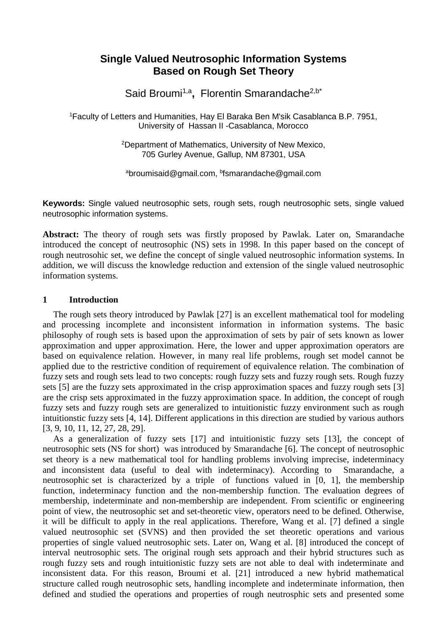# **Single Valued Neutrosophic Information Systems Based on Rough Set Theory**

Said Broumi<sup>1,a</sup>, Florentin Smarandache<sup>2,b\*</sup>

<sup>1</sup>Faculty of Letters and Humanities, Hay El Baraka Ben M'sik Casablanca B.P. 7951, University of Hassan II -Casablanca, Morocco

> <sup>2</sup>Department of Mathematics, University of New Mexico, 705 Gurley Avenue, Gallup, NM 87301, USA

<sup>a</sup>broumisaid@gmail.com, <sup>b</sup>fsmarandache@gmail.com

**Keywords:** Single valued neutrosophic sets, rough sets, rough neutrosophic sets, single valued neutrosophic information systems.

**Abstract:** The theory of rough sets was firstly proposed by Pawlak. Later on, Smarandache introduced the concept of neutrosophic (NS) sets in 1998. In this paper based on the concept of rough neutrosohic set, we define the concept of single valued neutrosophic information systems. In addition, we will discuss the knowledge reduction and extension of the single valued neutrosophic information systems.

# **1 Introduction**

The rough sets theory introduced by Pawlak [27] is an excellent mathematical tool for modeling and processing incomplete and inconsistent information in information systems. The basic philosophy of rough sets is based upon the approximation of sets by pair of sets known as lower approximation and upper approximation. Here, the lower and upper approximation operators are based on equivalence relation. However, in many real life problems, rough set model cannot be applied due to the restrictive condition of requirement of equivalence relation. The combination of fuzzy sets and rough sets lead to two concepts: rough fuzzy sets and fuzzy rough sets. Rough fuzzy sets [5] are the fuzzy sets approximated in the crisp approximation spaces and fuzzy rough sets [3] are the crisp sets approximated in the fuzzy approximation space. In addition, the concept of rough fuzzy sets and fuzzy rough sets are generalized to intuitionistic fuzzy environment such as rough intuitionstic fuzzy sets [4, 14]. Different applications in this direction are studied by various authors [3, 9, 10, 11, 12, 27, 28, 29].

As a generalization of fuzzy sets [17] and intuitionistic fuzzy sets [13], the concept of neutrosophic sets (NS for short) was introduced by Smarandache [6]. The concept of neutrosophic set theory is a new mathematical tool for handling problems involving imprecise, indeterminacy and inconsistent data (useful to deal with indeterminacy). According to Smarandache, a neutrosophic set is characterized by a triple of functions valued in [0, 1], the membership function, indeterminacy function and the non-membership function. The evaluation degrees of membership, indeterminate and non-membership are independent. From scientific or engineering point of view, the neutrosophic set and set-theoretic view, operators need to be defined. Otherwise, it will be difficult to apply in the real applications. Therefore, Wang et al. [7] defined a single valued neutrosophic set (SVNS) and then provided the set theoretic operations and various properties of single valued neutrosophic sets. Later on, Wang et al. [8] introduced the concept of interval neutrosophic sets. The original rough sets approach and their hybrid structures such as rough fuzzy sets and rough intuitionistic fuzzy sets are not able to deal with indeterminate and inconsistent data. For this reason, Broumi et al. [21] introduced a new hybrid mathematical structure called rough neutrosophic sets, handling incomplete and indeterminate information, then defined and studied the operations and properties of rough neutrosphic sets and presented some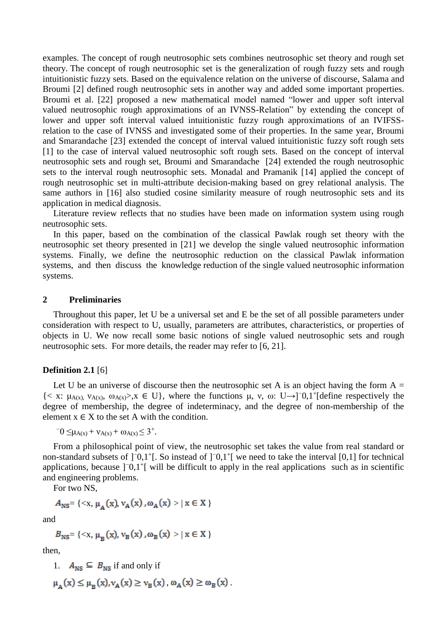examples. The concept of rough neutrosophic sets combines neutrosophic set theory and rough set theory. The concept of rough neutrosophic set is the generalization of rough fuzzy sets and rough intuitionistic fuzzy sets. Based on the equivalence relation on the universe of discourse, Salama and Broumi [2] defined rough neutrosophic sets in another way and added some important properties. Broumi et al. [22] proposed a new mathematical model named "lower and upper soft interval valued neutrosophic rough approximations of an IVNSS-Relation" by extending the concept of lower and upper soft interval valued intuitionistic fuzzy rough approximations of an IVIFSSrelation to the case of IVNSS and investigated some of their properties. In the same year, Broumi and Smarandache [23] extended the concept of interval valued intuitionistic fuzzy soft rough sets [1] to the case of interval valued neutrosophic soft rough sets. Based on the concept of interval neutrosophic sets and rough set, Broumi and Smarandache [24] extended the rough neutrosophic sets to the interval rough neutrosophic sets. Monadal and Pramanik [14] applied the concept of rough neutrosophic set in multi-attribute decision-making based on grey relational analysis. The same authors in [16] also studied cosine similarity measure of rough neutrosophic sets and its application in medical diagnosis.

Literature review reflects that no studies have been made on information system using rough neutrosophic sets.

In this paper, based on the combination of the classical Pawlak rough set theory with the neutrosophic set theory presented in [21] we develop the single valued neutrosophic information systems. Finally, we define the neutrosophic reduction on the classical Pawlak information systems, and then discuss the knowledge reduction of the single valued neutrosophic information systems.

## **2 Preliminaries**

Throughout this paper, let U be a universal set and E be the set of all possible parameters under consideration with respect to U, usually, parameters are attributes, characteristics, or properties of objects in U. We now recall some basic notions of single valued neutrosophic sets and rough neutrosophic sets. For more details, the reader may refer to [6, 21].

#### **Definition 2.1** [6]

Let U be an universe of discourse then the neutrosophic set A is an object having the form  $A =$ {< x:  $\mu_{A(x)}, \nu_{A(x)}, \omega_{A(x)} > x \in U$ }, where the functions  $\mu$ , v,  $\omega$ : U→]<sup>-</sup>0,1<sup>+</sup>[define respectively the degree of membership, the degree of indeterminacy, and the degree of non-membership of the element  $x \in X$  to the set A with the condition.

$$
^{-}0 \leq \mu_{A(x)} + \nu_{A(x)} + \omega_{A(x)} \leq 3^{+}.
$$

From a philosophical point of view, the neutrosophic set takes the value from real standard or non-standard subsets of ]<sup>−</sup>0,1<sup>+</sup>[. So instead of ]<sup>−</sup>0,1<sup>+</sup>[ we need to take the interval [0,1] for technical applications, because ]<sup>−</sup>0,1<sup>+</sup>[ will be difficult to apply in the real applications such as in scientific and engineering problems.

For two NS,

$$
A_{\text{NS}} = \{ \langle x, \mu_{\mathbf{A}}(x), v_{\mathbf{A}}(x), \omega_{\mathbf{A}}(x) \rangle | x \in X \}
$$

and

$$
B_{\text{NS}} = \{ \langle x, \mu_{\text{B}}(x), v_{\text{B}}(x), \omega_{\text{B}}(x) \rangle | x \in X \}
$$

then,

1.  $A_{NS} \subseteq B_{NS}$  if and only if

$$
\mu_A(x) \leq \mu_B(x), \nu_A(x) \geq \nu_B(x), \omega_A(x) \geq \omega_B(x).
$$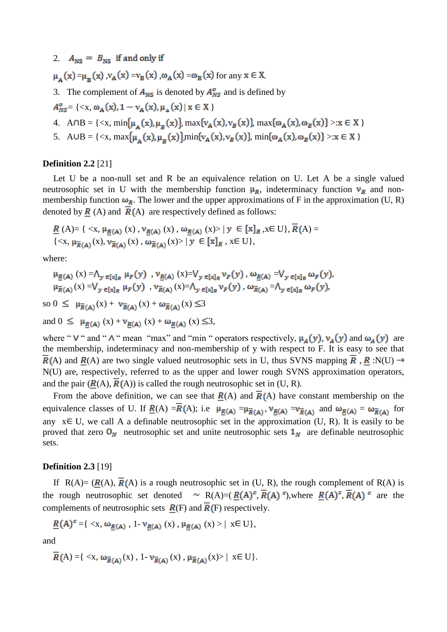2.  $A_{\text{NS}} = B_{\text{NS}}$  if and only if

$$
\mu_{A}(x) = \mu_{B}(x) \cdot v_{A}(x) = v_{B}(x) \cdot \omega_{A}(x) = \omega_{B}(x)
$$
 for any  $x \in X$ .

3. The complement of  $A_{\text{NS}}$  is denoted by  $A_{\text{NS}}^{\circ}$  and is defined by

$$
A_{NS}^o = \{ \langle x, \omega_A(x), 1 - \nu_A(x), \mu_A(x) \mid x \in X \}
$$

- 4. A  $\cap B = \{ \langle x, \min{\{\mu_{A}(x), \mu_{B}(x)\}}, \max{\{\nu_{A}(x), \nu_{B}(x)\}}, \max{\{\omega_{A}(x), \omega_{B}(x)\}} > x \in X \}$
- 5. A UB = { $\langle x, \max{\mu_{A}(x), \mu_{B}(x)}\rangle$  min { $v_{A}(x), v_{B}(x)$ }, min { $\omega_{A}(x), \omega_{B}(x)$ } > : x  $\in X$  }

# **Definition 2.2** [21]

Let U be a non-null set and R be an equivalence relation on U. Let A be a single valued neutrosophic set in U with the membership function  $\mu_R$ , indeterminacy function  $\nu_R$  and nonmembership function  $\omega_R$ . The lower and the upper approximations of F in the approximation (U, R) denoted by  $\overline{R}(A)$  and  $\overline{R}(A)$  are respectively defined as follows:

$$
\underline{R}(A) = \{ \langle x, \mu_{\underline{R}(A)}(x), v_{\underline{R}(A)}(x), \omega_{\underline{R}(A)}(x) \rangle | y \in [x]_R, x \in U \}, R(A) = \{ \langle x, \mu_{\overline{R}(A)}(x), v_{\overline{R}(A)}(x), \omega_{\overline{R}(A)}(x) \rangle | y \in [x]_R, x \in U \},
$$

where:

$$
\begin{array}{l} \mu_{\underline{R}(A)}\left(x\right)=&\Lambda_{y\ \in\left[x\right]_{R}}\ \mu_{F}\left(y\right)\ ,\ \nu_{\underline{R}(A)}\left(x\right)=&\mathrm{V}_{y\ \in\left[x\right]_{R}}\ \nu_{F}\left(y\right)\ ,\ \omega_{\underline{R}(A)}=\vee_{y\ \in\left[x\right]_{R}}\ \omega_{F}\left(y\right),\\ \mu_{\overline{R}(A)}\left(x\right)=&\mathrm{V}_{y\ \in\left[x\right]_{R}}\ \mu_{F}\left(y\right)\ ,\ \nu_{\overline{R}(A)}\left(x\right)=&\Lambda_{y\ \in\left[x\right]_{R}}\ \nu_{F}\left(y\right)\ ,\ \omega_{\overline{R}(A)}=\Lambda_{y\ \in\left[x\right]_{R}}\ \omega_{F}\left(y\right), \end{array}
$$

so 
$$
0 \leq \mu_{\overline{R}(A)}(x) + \nu_{\overline{R}(A)}(x) + \omega_{\overline{R}(A)}(x) \leq 3
$$

and  $0 \leq \mu_{R(A)}(x) + \nu_{R(A)}(x) + \omega_{R(A)}(x) \leq 3$ ,

where "  $V$  " and "  $\wedge$  " mean "max" and "min " operators respectively,  $\mu_A(y)$ ,  $\nu_A(y)$  and  $\omega_A(y)$  are the membership, indeterminacy and non-membership of y with respect to F. It is easy to see that  $R(A)$  and  $R(A)$  are two single valued neutrosophic sets in U, thus SVNS mapping  $\overline{R}$ ,  $R : N(U) \rightarrow$ N(U) are, respectively, referred to as the upper and lower rough SVNS approximation operators, and the pair  $(R(A), \overline{R}(A))$  is called the rough neutrosophic set in (U, R).

From the above definition, we can see that  $\overline{R}(A)$  and  $\overline{R}(A)$  have constant membership on the equivalence classes of U. If  $\underline{R}(A) = \overline{R}(A)$ ; i.e  $\mu_{\underline{R}(A)} = \mu_{\overline{R}(A)}$ ,  $\nu_{\underline{R}(A)} = \nu_{\overline{R}(A)}$  and  $\omega_{\underline{R}(A)} = \omega_{\overline{R}(A)}$  for any  $x \in U$ , we call A a definable neutrosophic set in the approximation (U, R). It is easily to be proved that zero  $O_N$  neutrosophic set and unite neutrosophic sets  $1_N$  are definable neutrosophic sets.

## **Definition 2.3** [19]

If  $R(A) = (R(A), \overline{R}(A))$  is a rough neutrosophic set in (U, R), the rough complement of R(A) is the rough neutrosophic set denoted  $\sim R(A)=(R(A)^c, \overline{R}(A)^c)$ , where  $R(A)^c, \overline{R}(A)^c$  are the complements of neutrosophic sets  $\overline{R}(F)$  and  $\overline{R}(F)$  respectively.

$$
\underline{R}(A)^c = \{ \langle x, \omega_{\underline{R}(A)}, 1 \cdot \nu_{\underline{R}(A)} (x), \mu_{\underline{R}(A)} (x) \rangle \mid x \in U \},
$$

and

$$
\overline{R}(A) = \{ \langle x, \omega_{\overline{R}(A)}(x), 1 \cdot \nu_{\overline{R}(A)}(x), \mu_{\overline{R}(A)}(x) \rangle \mid x \in U \}.
$$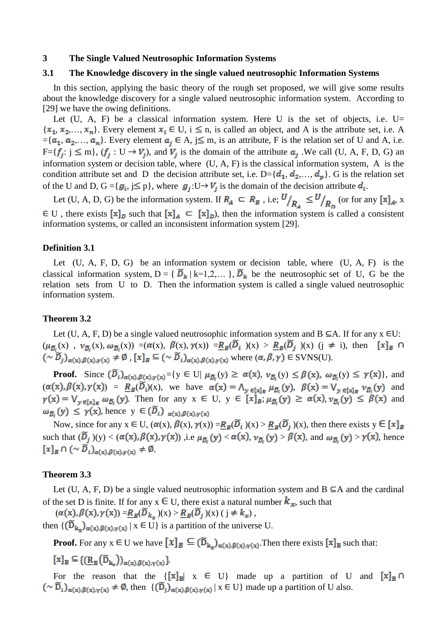## **3 The Single Valued Neutrosophic Information Systems**

#### **3.1 The Knowledge discovery in the single valued neutrosophic Information Systems**

In this section, applying the basic theory of the rough set proposed, we will give some results about the knowledge discovery for a single valued neutrosophic information system. According to [29] we have the owing definitions.

Let  $(U, A, F)$  be a classical information system. Here U is the set of objects, i.e. U=  ${x_1, x_2,..., x_n}$ . Every element  $x_i \in U$ ,  $i \le n$ , is called an object, and A is the attribute set, i.e. A  $=[a_1, a_2,..., a_n]$ . Every element  $a_j \in A$ ,  $j \leq m$ , is an attribute, F is the relation set of U and A, i.e.  $F=[f_i: j \leq m], (f_i: U \rightarrow V_i)$ , and  $V_i$  is the domain of the attribute  $a_i$ . We call (U, A, F, D, G) an information system or decision table, where (U, A, F) is the classical information system, A is the condition attribute set and D the decision attribute set, i.e.  $D = \{d_1, d_2, ..., d_p\}$ . G is the relation set of the U and D,  $G = \{g_i, j \leq p\}$ , where  $g_j: U \rightarrow V_j$  is the domain of the decision attribute  $d_i$ .

Let (U, A, D, G) be the information system. If  $R_A \subseteq R_B$ , i.e;  $U/_{R_A} \leq U/_{R_D}$  (or for any [x]<sub>A</sub>, x  $\in$  U, there exists  $[x]_D$  such that  $[x]_A \subseteq [x]_D$ , then the information system is called a consistent information systems, or called an inconsistent information system [29].

#### **Definition 3.1**

Let  $(U, A, F, D, G)$  be an information system or decision table, where  $(U, A, F)$  is the classical information system,  $D = \{ \widetilde{D}_k | k=1,2,... \}$ ,  $\widetilde{D}_k$  be the neutrosophic set of U, G be the relation sets from U to D. Then the information system is called a single valued neutrosophic information system.

#### **Theorem 3.2**

Let (U, A, F, D) be a single valued neutrosophic information system and B  $\subseteq$ A. If for any x  $\in$ U:  $(\mu_{\tilde{D}_i}(x), \nu_{\tilde{D}_i}(x), \omega_{\tilde{D}_i}(x)) = (\alpha(x), \beta(x), \gamma(x)) = R_B(\tilde{D}_i)(x) > R_B(\tilde{D}_j)(x)$  (j  $\neq$  i), then  $[x]_B \cap$  $(\sim \widetilde{D}_j)_{\alpha(x),\beta(x),\gamma(x)} \neq \emptyset$ ,  $[x]_B \subseteq (\sim \widetilde{D}_i)_{\alpha(x),\beta(x),\gamma(x)}$  where  $(\alpha,\beta,\gamma) \in \text{SVNS}(U)$ .

**Proof.** Since  $(\widetilde{D}_i)_{\alpha(x),\beta(x),\gamma(x)} = \{y \in U | \mu_{\widetilde{D}_i}(y) \ge \alpha(x), \nu_{\widetilde{D}_i}(y) \le \beta(x), \omega_{\widetilde{D}_i}(y) \le \gamma(x)\}\)$ , and  $(\alpha(x), \beta(x), \gamma(x)) = R_B(\overline{D}_i)(x)$ , we have  $\alpha(x) = \bigwedge_{y \in [x]_B} \mu_{\overline{D}_i}(y)$ ,  $\beta(x) = \bigvee_{y \in [x]_B} \nu_{\overline{D}_i}(y)$  and . Then for any  $x \in U$ ,  $y \in [x]_B$ ,  $\mu_{\tilde{b}}(y) \ge \alpha(x)$ ,  $\nu_{\tilde{b}}(y) \le \beta(x)$  and  $\omega_{D_i}(y) \leq \gamma(x)$ , hence  $y \in (\widetilde{D}_i)_{\alpha(x), \beta(x), \gamma(x)}$ 

Now, since for any  $x \in U$ ,  $(\alpha(x), \beta(x), \gamma(x)) = R_B(\overline{D}_i)(x) > R_B(\overline{D}_j)(x)$ , then there exists  $y \in [x]_B$ such that  $(\widetilde{D}_j)(y) < (\alpha(x), \beta(x), \gamma(x))$ , i.e  $\mu_{\widetilde{D}_i}(y) < \alpha(x), \nu_{\widetilde{D}_i}(y) > \beta(x)$ , and  $\omega_{\widetilde{D}_i}(y) > \gamma(x)$ , hence  $[x]_B \cap (\sim \widetilde{D}_i)_{\alpha(x), \beta(x), \gamma(x)} \neq \emptyset$ 

## **Theorem 3.3**

Let (U, A, F, D) be a single valued neutrosophic information system and  $B \subseteq A$  and the cardinal of the set D is finite. If for any  $x \in U$ , there exist a natural number  $k_x$ , such that

 $(\alpha(x), \beta(x), \gamma(x)) = R_B(\widetilde{D}_{k_x})(x) > R_B(\widetilde{D}_j)(x)$  ( $j \neq k_x$ ), then  $\{(\widetilde{D}_{k_v})_{\alpha(x),\beta(x),\gamma(x)} \mid x \in U\}$  is a partition of the universe U.

**Proof.** For any  $x \in U$  we have  $[x]_B \subseteq (\widetilde{D}_{k_x})_{\alpha(x),\beta(x),\gamma(x)}$ . Then there exists  $[x]_B$  such that:

$$
[x]_B \subseteq \{(\underline{R}_B(\widetilde{D}_{k_w}))_{\alpha(x),\beta(x),\gamma(x)}\}
$$

For the reason that the  $\{ [x]_B | x \in U \}$  made up a partition of U and  $[x]_B \cap$  $(\sim \widetilde{D}_i)_{\alpha(x),\beta(x),\gamma(x)} \neq \emptyset$ , then  $\{(\widetilde{D}_i)_{\alpha(x),\beta(x),\gamma(x)} | x \in U\}$  made up a partition of U also.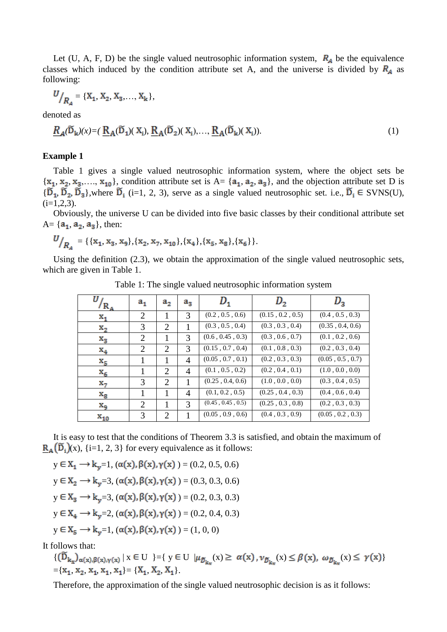Let (U, A, F, D) be the single valued neutrosophic information system,  $R_A$  be the equivalence classes which induced by the condition attribute set A, and the universe is divided by  $R_A$  as following:

$$
U/_{R_A} = \{X_1, X_2, X_3, \ldots, X_k\},\,
$$

denoted as

$$
\underline{R}_A(\widetilde{D}_k)(x) = (\underline{R}_A(\widetilde{D}_1)(X_i), \underline{R}_A(\widetilde{D}_2)(X_i), \dots, \underline{R}_A(\widetilde{D}_k)(X_i)).
$$
\n(1)

# **Example 1**

Table 1 gives a single valued neutrosophic information system, where the object sets be  ${x_1, x_2, x_3, \ldots, x_{10}}$ , condition attribute set is  $A = {a_1, a_2, a_3}$ , and the objection attribute set D is  ${\{\widetilde{D}_1, \widetilde{D}_2, \widetilde{D}_3\}}$ ,where  $\widetilde{D}_i$  (i=1, 2, 3), serve as a single valued neutrosophic set. i.e.,  $\widetilde{D}_i \in \text{SVNS}(U)$ ,  $(i=1,2,3)$ .

Obviously, the universe U can be divided into five basic classes by their conditional attribute set  $A = \{a_1, a_2, a_3\}$ , then:

$$
U_{R_{A}} = \{ \{x_1, x_3, x_9\}, \{x_2, x_7, x_{10}\}, \{x_4\}, \{x_5, x_8\}, \{x_6\} \}.
$$

Using the definition (2.3), we obtain the approximation of the single valued neutrosophic sets, which are given in Table 1.

| $R_A$            | $a_{1}$        | a <sub>2</sub> | $a_{3}$        | $\bm{\nu}_{\texttt{1}}$ | $D_2$            | $\mu_{\mathrm{2}}$ |
|------------------|----------------|----------------|----------------|-------------------------|------------------|--------------------|
| $\mathbf{x_{1}}$ | $\overline{2}$ | 1              | 3              | (0.2, 0.5, 0.6)         | (0.15, 0.2, 0.5) | (0.4, 0.5, 0.3)    |
| $\mathbf{x}_2$   | 3              | 2              | 1              | (0.3, 0.5, 0.4)         | (0.3, 0.3, 0.4)  | (0.35, 0.4, 0.6)   |
| $\mathrm{x}_3$   | 2              | 1              | 3              | (0.6, 0.45, 0.3)        | (0.3, 0.6, 0.7)  | (0.1, 0.2, 0.6)    |
| $\mathbf{x}_4$   | $\overline{2}$ | $\overline{2}$ | 3              | (0.15, 0.7, 0.4)        | (0.1, 0.8, 0.3)  | (0.2, 0.3, 0.4)    |
| $x_{5}$          |                | 1              | $\overline{4}$ | (0.05, 0.7, 0.1)        | (0.2, 0.3, 0.3)  | (0.05, 0.5, 0.7)   |
| $\mathbf{x}_6$   | 1              | 2              | $\overline{4}$ | (0.1, 0.5, 0.2)         | (0.2, 0.4, 0.1)  | (1.0, 0.0, 0.0)    |
| $x_7$            | 3              | 2              | 1              | (0.25, 0.4, 0.6)        | (1.0, 0.0, 0.0)  | (0.3, 0.4, 0.5)    |
| $\mathrm{x_{g}}$ | 1              | 1              | 4              | (0.1, 0.2, 0.5)         | (0.25, 0.4, 0.3) | (0.4, 0.6, 0.4)    |
| Xq               | 2              | 1              | 3              | (0.45, 0.45, 0.5)       | (0.25, 0.3, 0.8) | (0.2, 0.3, 0.3)    |
| $x_{10}$         | 3              | 2              |                | (0.05, 0.9, 0.6)        | (0.4, 0.3, 0.9)  | (0.05, 0.2, 0.3)   |

Table 1: The single valued neutrosophic information system

It is easy to test that the conditions of Theorem 3.3 is satisfied, and obtain the maximum of  $R_{\rm A}(\tilde{D}_{i})(x)$ , {i=1, 2, 3} for every equivalence as it follows:

 $y \in X_1 \longrightarrow k_v = 1$ ,  $(\alpha(x), \beta(x), \gamma(x)) = (0.2, 0.5, 0.6)$  $y \in X_2 \longrightarrow k_v = 3$ ,  $(\alpha(x), \beta(x), \gamma(x)) = (0.3, 0.3, 0.6)$  $y \in X_3 \longrightarrow k_y = 3$ ,  $(\alpha(x), \beta(x), \gamma(x)) = (0.2, 0.3, 0.3)$  $y \in X_4 \longrightarrow k_v=2$ ,  $(\alpha(x), \beta(x), \gamma(x)) = (0.2, 0.4, 0.3)$  $y \in X_s \longrightarrow k_v = 1$ ,  $(\alpha(x), \beta(x), \gamma(x)) = (1, 0, 0)$ 

It follows that:

 $\{(\widetilde{D}_{k_x})_{\alpha(x),\beta(x),\gamma(x)}\mid x\in U\;\; \}=\left\{\;y\in U\;\; |\mu_{\widetilde{D}_{k_x}}(x)\geq\; \alpha(x)\,, \nu_{\widetilde{D}_{k_x}}(x)\leq \beta(x),\; \omega_{\widetilde{D}_{k_x}}(x)\leq\; \gamma(x)\right\}$  $=[x_1, x_2, x_1, x_1, x_1] = \{X_1, X_2, X_1\}.$ 

Therefore, the approximation of the single valued neutrosophic decision is as it follows: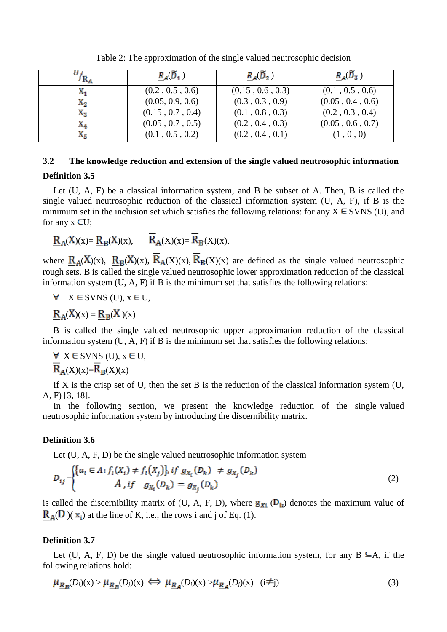| $R_{\rm A}$ | $R_A(\widetilde{D}_1)$ | $R_A(\widetilde{D}_2)$ | $R_{A}(\widetilde{D}_3)$ |
|-------------|------------------------|------------------------|--------------------------|
|             | (0.2, 0.5, 0.6)        | (0.15, 0.6, 0.3)       | (0.1, 0.5, 0.6)          |
| х,          | (0.05, 0.9, 0.6)       | (0.3, 0.3, 0.9)        | (0.05, 0.4, 0.6)         |
| X3          | (0.15, 0.7, 0.4)       | (0.1, 0.8, 0.3)        | (0.2, 0.3, 0.4)          |
| X4          | (0.05, 0.7, 0.5)       | (0.2, 0.4, 0.3)        | (0.05, 0.6, 0.7)         |
| X5          | (0.1, 0.5, 0.2)        | (0.2, 0.4, 0.1)        | (1, 0, 0)                |

Table 2: The approximation of the single valued neutrosophic decision

# **3.2 The knowledge reduction and extension of the single valued neutrosophic information**

# **Definition 3.5**

Let (U, A, F) be a classical information system, and B be subset of A. Then, B is called the single valued neutrosophic reduction of the classical information system (U, A, F), if B is the minimum set in the inclusion set which satisfies the following relations: for any  $X \in SVMS$  (U), and for any  $x \in U$ ;

$$
\underline{R}_A(X)(x) = \underline{R}_B(X)(x), \qquad \overline{R}_A(X)(x) = \overline{R}_B(X)(x),
$$

where  $R_A(X)(x)$ ,  $R_B(X)(x)$ ,  $\overline{R}_A(X)(x)$ ,  $\overline{R}_B(X)(x)$  are defined as the single valued neutrosophic rough sets. B is called the single valued neutrosophic lower approximation reduction of the classical information system (U, A, F) if B is the minimum set that satisfies the following relations:

 $\forall$  X  $\in$  SVNS (U),  $x \in U$ ,

$$
\underline{R}_A(X)(x) = \underline{R}_B(X)(x)
$$

B is called the single valued neutrosophic upper approximation reduction of the classical information system  $(U, A, F)$  if B is the minimum set that satisfies the following relations:

$$
\forall \; X \in \text{SVNS (U), } x \in U, \overline{R}_A(X)(x) = \overline{R}_B(X)(x)
$$

If X is the crisp set of U, then the set B is the reduction of the classical information system  $(U,$ A, F) [3, 18].

In the following section, we present the knowledge reduction of the single valued neutrosophic information system by introducing the discernibility matrix.

# **Definition 3.6**

Let **(**U, A, F, D) be the single valued neutrosophic information system

$$
D_{ij} = \begin{cases} \{a_i \in A : f_i(X_i) \neq f_i(X_j)\}, & if \ g_{X_i}(D_k) \neq g_{X_j}(D_k) \\ A, & if \ g_{X_i}(D_k) = g_{X_j}(D_k) \end{cases} \tag{2}
$$

is called the discernibility matrix of (U, A, F, D), where  $g_{xi}$  ( $D_k$ ) denotes the maximum value of  $R_A(D)(x_i)$  at the line of K, i.e., the rows i and j of Eq. (1).

# **Definition 3.7**

Let (U, A, F, D) be the single valued neutrosophic information system, for any  $B \subseteq A$ , if the following relations hold:

$$
\mu_{\underline{R}_{\underline{B}}}(D_i)(x) > \mu_{\underline{R}_{\underline{B}}}(D_j)(x) \iff \mu_{\underline{R}_{\underline{A}}}(D_i)(x) > \mu_{\underline{R}_{\underline{A}}}(D_j)(x) \quad (i \neq j)
$$
\n(3)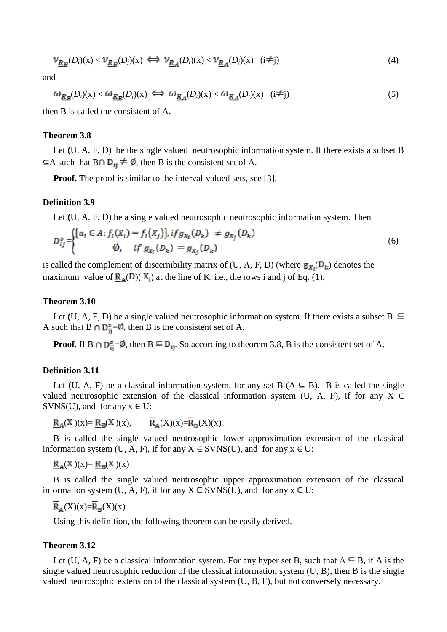$$
\nu_{\underline{R}_{\underline{B}}}(D_i)(x) < \nu_{\underline{R}_{\underline{B}}}(D_j)(x) \iff \nu_{\underline{R}_{\underline{A}}}(D_i)(x) < \nu_{\underline{R}_{\underline{A}}}(D_j)(x) \quad (i \neq j) \tag{4}
$$

and

$$
\omega_{\underline{R}_{\underline{B}}}(D_i)(x) < \omega_{\underline{R}_{\underline{B}}}(D_j)(x) \iff \omega_{\underline{R}_{\underline{A}}}(D_i)(x) < \omega_{\underline{R}_{\underline{A}}}(D_j)(x) \quad (i \neq j) \tag{5}
$$

then B is called the consistent of A**.**

# **Theorem 3.8**

Let (U, A, F, D) be the single valued neutrosophic information system. If there exists a subset B  $\subseteq$ A such that B $\cap$  D<sub>ij</sub>  $\neq$  Ø, then B is the consistent set of A.

**Proof.** The proof is similar to the interval-valued sets, see [3].

## **Definition 3.9**

Let **(**U, A, F, D) be a single valued neutrosophic neutrosophic information system. Then

$$
D_{ij}^{c} = \begin{cases} \{a_i \in A : f_i(X_i) = f_i(X_j)\}, if g_{X_i}(D_k) \neq g_{X_j}(D_k) \\ 0, & if g_{X_i}(D_k) = g_{X_j}(D_k) \end{cases} \tag{6}
$$

is called the complement of discernibility matrix of (U, A, F, D) (where  $g_{\mathbf{x}_i}(\mathbf{D}_k)$  denotes the maximum value of  $R_A(D)(X_i)$  at the line of K, i.e., the rows i and j of Eq. (1).

## **Theorem 3.10**

Let (U, A, F, D) be a single valued neutrosophic information system. If there exists a subset  $B \subseteq$ A such that B  $\cap$   $D_{ii}^c = \emptyset$ , then B is the consistent set of A.

**Proof.** If B  $\cap$   $D_{ii}^c = \emptyset$ , then B  $\subseteq$   $D_{ij}$ . So according to theorem 3.8, B is the consistent set of A.

## **Definition 3.11**

Let (U, A, F) be a classical information system, for any set B ( $A \subseteq B$ ). B is called the single valued neutrosophic extension of the classical information system (U, A, F), if for any X  $\in$ SVNS(U), and for any  $x \in U$ :

$$
\underline{R}_A(X)(x) = \underline{R}_B(X)(x), \qquad \overline{R}_A(X)(x) = \overline{R}_B(X)(x)
$$

B is called the single valued neutrosophic lower approximation extension of the classical information system (U, A, F), if for any  $X \in SVNS(U)$ , and for any  $x \in U$ :

$$
\underline{R}_A(X)(x) = \underline{R}_B(X)(x)
$$

B is called the single valued neutrosophic upper approximation extension of the classical information system (U, A, F), if for any  $X \in \text{SVNS}(U)$ , and for any  $x \in U$ :

$$
\overline{\mathbf{R}}_{\mathbf{A}}(X)(x) = \overline{\mathbf{R}}_{\mathbf{B}}(X)(x)
$$

Using this definition, the following theorem can be easily derived.

## **Theorem 3.12**

Let (U, A, F) be a classical information system. For any hyper set B, such that  $A \subseteq B$ , if A is the single valued neutrosophic reduction of the classical information system (U, B), then B is the single valued neutrosophic extension of the classical system (U, B, F), but not conversely necessary.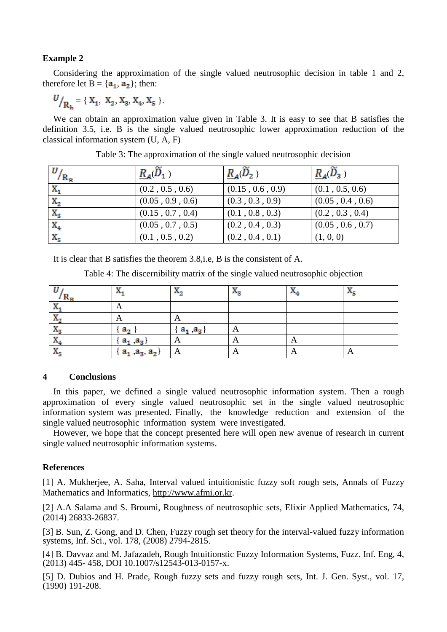# **Example 2**

Considering the approximation of the single valued neutrosophic decision in table 1 and 2, therefore let  $B = \{a_1, a_2\}$ ; then:

 $U_{R_1} = \{ X_1, X_2, X_3, X_4, X_5 \}.$ 

We can obtain an approximation value given in Table 3. It is easy to see that B satisfies the definition 3.5, i.e. B is the single valued neutrosophic lower approximation reduction of the classical information system (U, A, F)

| $U_{R_{\rm R}}$  | $R_{A}(D_{1})$   | $R_A(D_2)$       | $R_{A}(\overline{D}_{3})$ |
|------------------|------------------|------------------|---------------------------|
| $X_1$            | (0.2, 0.5, 0.6)  | (0.15, 0.6, 0.9) | (0.1, 0.5, 0.6)           |
| $\mathbf{x}_{2}$ | (0.05, 0.9, 0.6) | (0.3, 0.3, 0.9)  | (0.05, 0.4, 0.6)          |
| $X_3$            | (0.15, 0.7, 0.4) | (0.1, 0.8, 0.3)  | (0.2, 0.3, 0.4)           |
| $X_4$            | (0.05, 0.7, 0.5) | (0.2, 0.4, 0.3)  | (0.05, 0.6, 0.7)          |
| $X_{5}$          | (0.1, 0.5, 0.2)  | (0.2, 0.4, 0.1)  | (1, 0, 0)                 |

|  |  | Table 3: The approximation of the single valued neutrosophic decision |
|--|--|-----------------------------------------------------------------------|
|  |  |                                                                       |

It is clear that B satisfies the theorem 3.8,i.e, B is the consistent of A.

Table 4: The discernibility matrix of the single valued neutrosophic objection

| IАp                            | . .<br>$\mathbf{A}_1$   | Λ.,           | $\mathbf{A}_3$         | ÷<br>$\mathbf{A}_A$ | <b>TEP</b><br>$\mathbf{A}_{\mathbf{K}}$ |
|--------------------------------|-------------------------|---------------|------------------------|---------------------|-----------------------------------------|
| <b>TF</b>                      | A                       |               |                        |                     |                                         |
| v<br>$\mathbf{A}_{2}$          | A                       | A             |                        |                     |                                         |
| v<br>$\mathbf{A}_2$            | a,                      | $a_1$ , $a_3$ | A                      |                     |                                         |
| $\mathbf{A}$                   | $a_1$ , $a_3$           | A             | $\Gamma$               | A                   |                                         |
| w<br>$\mathbf{A}_{\mathbf{K}}$ | $a_1$ , $a_3$ , $a_2$ } | A             | $\mathbf{\mathcal{L}}$ | A                   | $\mathbf{A}$                            |

# **4 Conclusions**

In this paper, we defined a single valued neutrosophic information system. Then a rough approximation of every single valued neutrosophic set in the single valued neutrosophic information system was presented. Finally, the knowledge reduction and extension of the single valued neutrosophic information system were investigated.

However, we hope that the concept presented here will open new avenue of research in current single valued neutrosophic information systems.

## **References**

[1] A. Mukherjee, A. Saha, Interval valued intuitionistic fuzzy soft rough sets, Annals of Fuzzy Mathematics and Informatics, [http://www.afmi.or.kr.](http://www.afmi.or.kr/)

[2] A.A Salama and S. Broumi, Roughness of neutrosophic sets, Elixir Applied Mathematics, 74, (2014) 26833-26837.

[3] B. Sun, Z. Gong, and D. Chen, Fuzzy rough set theory for the interval-valued fuzzy information systems, Inf. Sci., vol. 178, (2008) 2794-2815.

[4] B. Davvaz and M. Jafazadeh, Rough Intuitionstic Fuzzy Information Systems, Fuzz. Inf. Eng, 4, (2013) 445- 458, DOI 10.1007/s12543-013-0157-x.

[5] D. Dubios and H. Prade, Rough fuzzy sets and fuzzy rough sets, Int. J. Gen. Syst., vol. 17, (1990) 191-208.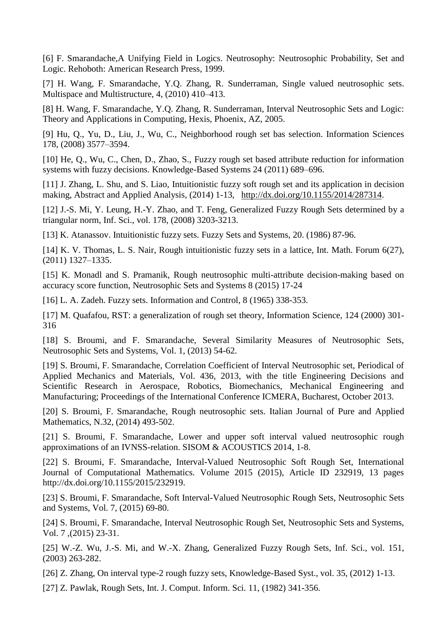[6] F. Smarandache,A Unifying Field in Logics. Neutrosophy: Neutrosophic Probability, Set and Logic. Rehoboth: American Research Press, 1999.

[7] H. Wang, F. Smarandache, Y.Q. Zhang, R. Sunderraman, Single valued neutrosophic sets. Multispace and Multistructure, 4, (2010) 410–413.

[8] H. Wang, F. Smarandache, Y.Q. Zhang, R. Sunderraman, Interval Neutrosophic Sets and Logic: Theory and Applications in Computing, Hexis, Phoenix, AZ, 2005.

[9] Hu, Q., Yu, D., Liu, J., Wu, C., Neighborhood rough set bas selection. Information Sciences 178, (2008) 3577–3594.

[10] He, Q., Wu, C., Chen, D., Zhao, S., Fuzzy rough set based attribute reduction for information systems with fuzzy decisions. Knowledge-Based Systems 24 (2011) 689–696.

[11] J. Zhang, L. Shu, and S. Liao, Intuitionistic fuzzy soft rough set and its application in decision making, Abstract and Applied Analysis, (2014) 1-13, [http://dx.doi.org/10.1155/2014/287314.](http://dx.doi.org/10.1155/2014/287314)

[12] J.-S. Mi, Y. Leung, H.-Y. Zhao, and T. Feng, Generalized Fuzzy Rough Sets determined by a triangular norm, Inf. Sci., vol. 178, (2008) 3203-3213.

[13] K. Atanassov. Intuitionistic fuzzy sets. Fuzzy Sets and Systems, 20. (1986) 87-96.

[14] K. V. Thomas, L. S. Nair, Rough intuitionistic fuzzy sets in a lattice, Int. Math. Forum 6(27), (2011) 1327–1335.

[15] K. Monadl and S. Pramanik, Rough neutrosophic multi-attribute decision-making based on accuracy score function, Neutrosophic Sets and Systems 8 (2015) 17-24

[16] L. A. Zadeh. Fuzzy sets. Information and Control, 8 (1965) 338-353.

[17] M. Quafafou, RST: a generalization of rough set theory, Information Science, 124 (2000) 301- 316

[18] S. Broumi, and F. Smarandache, Several Similarity Measures of Neutrosophic Sets, Neutrosophic Sets and Systems, Vol. 1, (2013) 54-62.

[19] S. Broumi, F. Smarandache, Correlation Coefficient of Interval Neutrosophic set, Periodical of Applied Mechanics and Materials, Vol. 436, 2013, with the title Engineering Decisions and Scientific Research in Aerospace, Robotics, Biomechanics, Mechanical Engineering and Manufacturing; Proceedings of the International Conference ICMERA, Bucharest, October 2013.

[20] S. Broumi, F. Smarandache, Rough neutrosophic sets. Italian Journal of Pure and Applied Mathematics, N.32, (2014) 493-502.

[21] S. Broumi, F. Smarandache, Lower and upper soft interval valued neutrosophic rough approximations of an IVNSS-relation. SISOM & ACOUSTICS 2014, 1-8.

[22] S. Broumi, F. Smarandache, Interval-Valued Neutrosophic Soft Rough Set, International Journal of Computational Mathematics. Volume 2015 (2015), Article ID 232919, 13 pages [http://dx.doi.org/10.1155/2015/232919.](http://dx.doi.org/10.1155/2015/232919)

[23] S. Broumi, F. Smarandache, Soft Interval-Valued Neutrosophic Rough Sets, Neutrosophic Sets and Systems, Vol. 7, (2015) 69-80.

[24] S. Broumi, F. Smarandache, Interval Neutrosophic Rough Set, Neutrosophic Sets and Systems, Vol. 7 ,(2015) 23-31.

[25] W.-Z. Wu, J.-S. Mi, and W.-X. Zhang, Generalized Fuzzy Rough Sets, Inf. Sci., vol. 151, (2003) 263-282.

[26] Z. Zhang, On interval type-2 rough fuzzy sets, Knowledge-Based Syst., vol. 35, (2012) 1-13.

[27] Z. Pawlak, Rough Sets, Int. J. Comput. Inform. Sci. 11, (1982) 341-356.